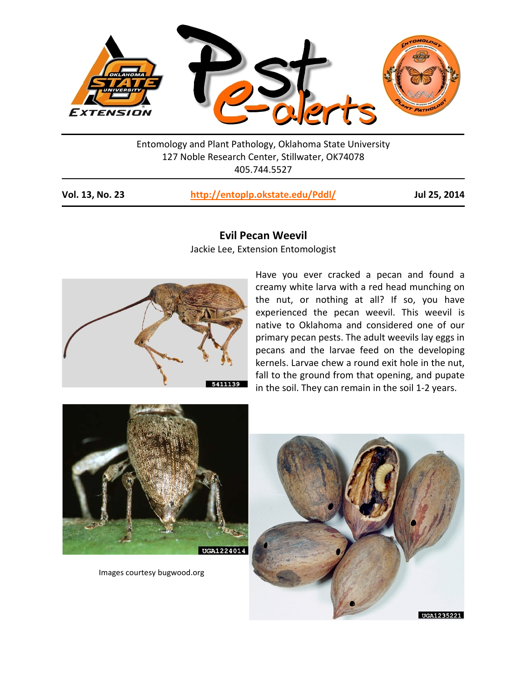

Entomology and Plant Pathology, Oklahoma State University 127 Noble Research Center, Stillwater, OK74078 405.744.5527

| Vol. 13, No. 23<br>http://entoplp.okstate.edu/Pddl/ |  |
|-----------------------------------------------------|--|
|-----------------------------------------------------|--|

**Vol. 13, No. 23 <http://entoplp.okstate.edu/Pddl/> Jul 25, 2014**



## **Evil Pecan Weevil**

Jackie Lee, Extension Entomologist

Have you ever cracked a pecan and found a creamy white larva with a red head munching on the nut, or nothing at all? If so, you have experienced the pecan weevil. This weevil is native to Oklahoma and considered one of our primary pecan pests. The adult weevils lay eggs in pecans and the larvae feed on the developing kernels. Larvae chew a round exit hole in the nut, fall to the ground from that opening, and pupate in the soil. They can remain in the soil 1-2 years.



Images courtesy bugwood.org